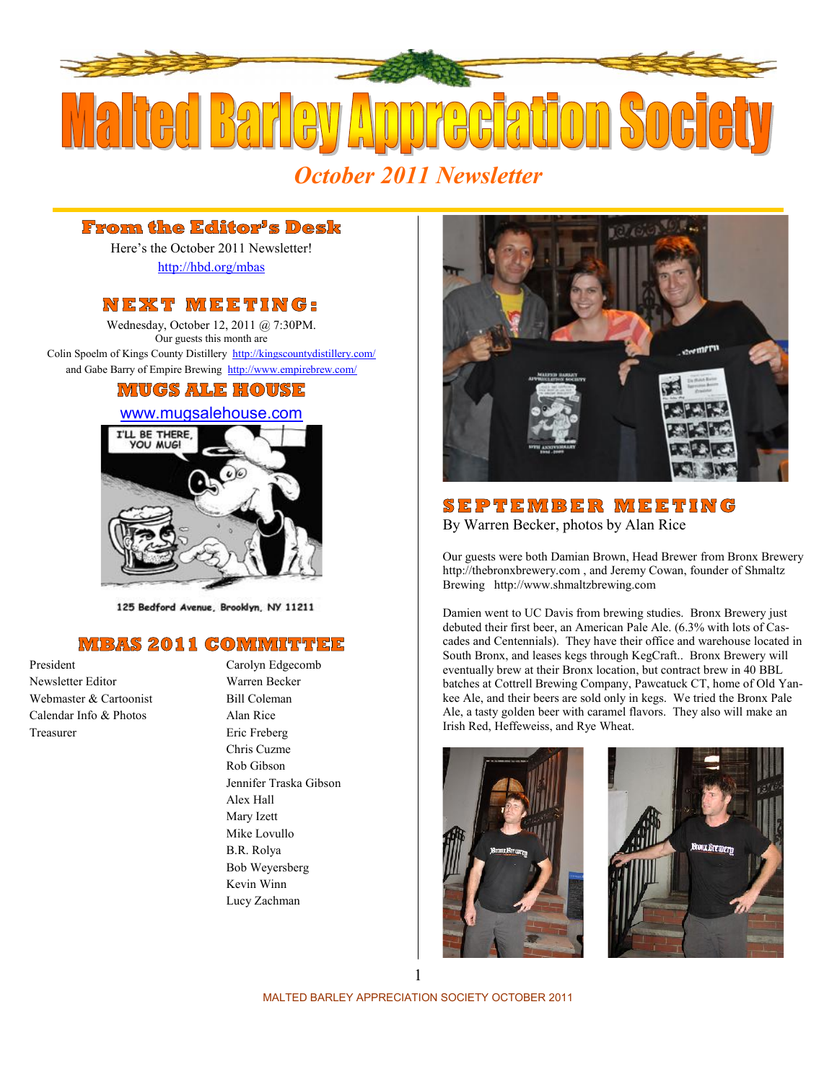

### **From the Editor's Desk**

Here's the October 2011 Newsletter! http://hbd.org/mbas

**Promm the Editor's Desk**<br>
Here's the October 2011 Newsletter!<br>
http://hbd.org/mbas<br>
N E X T M E E T I N G :<br>
Wednesday, October 12, 2011 @ 7:30PM.<br>
Our guests this month are Wednesday, October 12, 2011 @ 7:30PM. Our guests this month are Colin Spoelm of Kings County Distillery http://kingscountydistillery.com/ and Gabe Barry of Empire Brewing http://www.empirebrew.com/

## **MUGS ALE HOUSE**

### www.mugsalehouse.com



125 Bedford Avenue, Brooklyn, NY 11211

### **MBAS 2011 COMMITTEE**

Newsletter Editor Warren Becker Webmaster & Cartoonist Bill Coleman Calendar Info & Photos Alan Rice Treasurer Eric Freberg

President Carolyn Edgecomb Chris Cuzme Rob Gibson Jennifer Traska Gibson Alex Hall Mary Izett Mike Lovullo B.R. Rolya Bob Weyersberg Kevin Winn Lucy Zachman



By Warren Becker, photos by Alan Rice

Our guests were both Damian Brown, Head Brewer from Bronx Brewery http://thebronxbrewery.com , and Jeremy Cowan, founder of Shmaltz Brewing http://www.shmaltzbrewing.com

Damien went to UC Davis from brewing studies. Bronx Brewery just debuted their first beer, an American Pale Ale. (6.3% with lots of Cas cades and Centennials). They have their office and warehouse located in South Bronx, and leases kegs through KegCraft.. Bronx Brewery will eventually brew at their Bronx location, but contract brew in 40 BBL batches at Cottrell Brewing Company, Pawcatuck CT, home of Old Yan kee Ale, and their beers are sold only in kegs. We tried the Bronx Pale Ale, a tasty golden beer with caramel flavors. They also will make an Irish Red, Heffeweiss, and Rye Wheat.



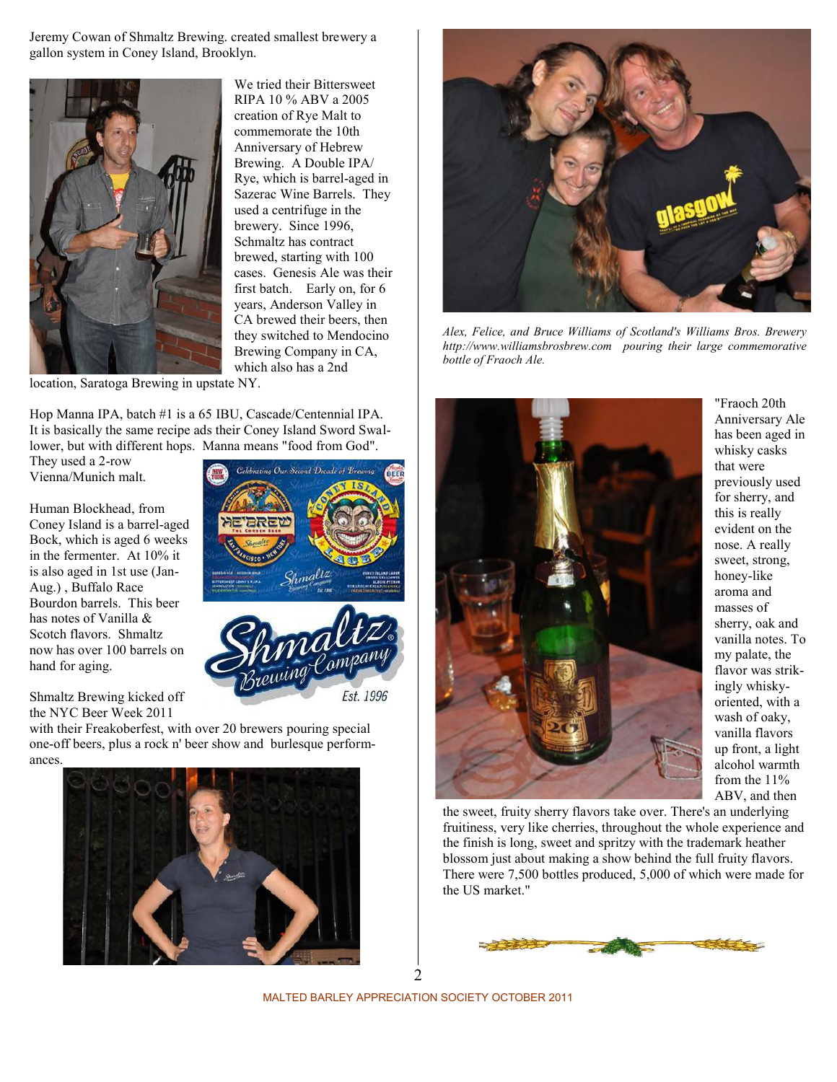Jeremy Cowan of Shmaltz Brewing. created smallest brewery a gallon system in Coney Island, Brooklyn.



We tried their Bittersweet RIPA 10 % ABV a 2005 creation of Rye Malt to commemorate the 10th Anniversary of Hebrew Brewing. A Double IPA/ Rye, which is barrel-aged in Sazerac Wine Barrels. They used a centrifuge in the brewery. Since 1996, Schmaltz has contract brewed, starting with 100 cases. Genesis Ale was their first batch. Early on, for 6 years, Anderson Valley in CA brewed their beers, then they switched to Mendocino Brewing Company in CA, which also has a 2nd

location, Saratoga Brewing in upstate NY.

Hop Manna IPA, batch #1 is a 65 IBU, Cascade/Centennial IPA. It is basically the same recipe ads their Coney Island Sword Swallower, but with different hops. Manna means "food from God".

They used a 2-row Vienna/Munich malt.

Human Blockhead, from Coney Island is a barrel-aged Bock, which is aged 6 weeks in the fermenter. At 10% it is also aged in 1st use (Jan- Aug.) , Buffalo Race Bourdon barrels. This beer has notes of Vanilla & Scotch flavors. Shmaltz now has over 100 barrels on hand for aging.

Shmaltz Brewing kicked off the NYC Beer Week 2011

Est. 1996

**Colebrating Our Second Decade of Brewin** 

with their Freakoberfest, with over 20 brewers pouring special

one-off beers, plus a rock n' beer show and burlesque performances.





*Alex, Felice, and Bruce Williams of Scotland's Williams Bros. Brewery http://www.williamsbrosbrew.com pouring their large commemorative bottle of Fraoch Ale.*



"Fraoch 20th Anniversary Ale has been aged in whisky casks that were previously used for sherry, and this is really evident on the nose. A really sweet, strong, honey-like aroma and masses of sherry, oak and vanilla notes. To my palate, the flavor was strikingly whisky oriented, with a wash of oaky, vanilla flavors up front, a light alcohol warmth from the 11% ABV, and then

the sweet, fruity sherry flavors take over. There's an underlying fruitiness, very like cherries, throughout the whole experience and the finish is long, sweet and spritzy with the trademark heather blossom just about making a show behind the full fruity flavors. There were 7,500 bottles produced, 5,000 of which were made for the US market."



MALTED BARLEY APPRECIATION SOCIETY OCTOBER 2011